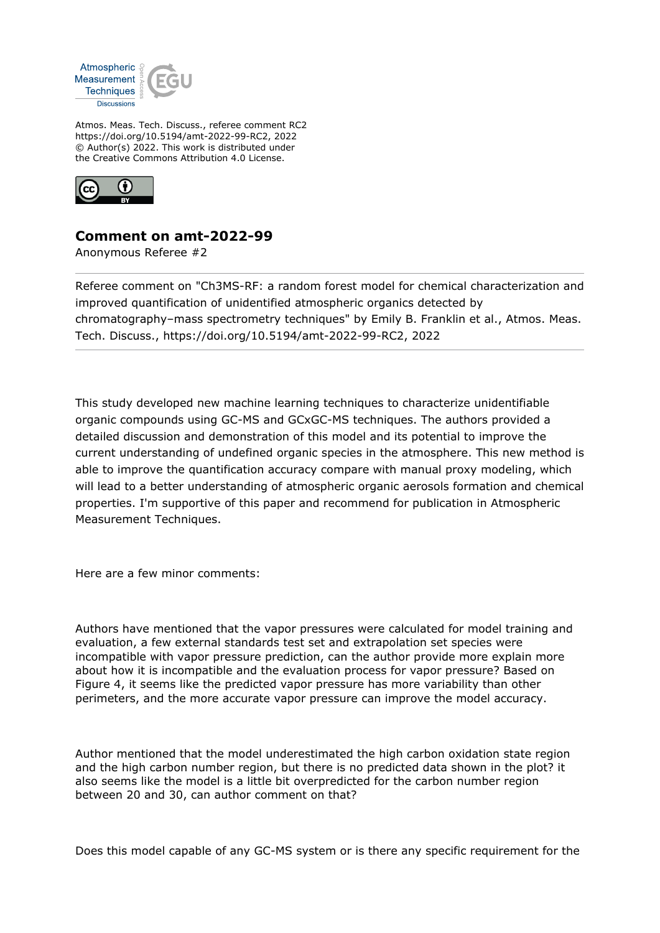

Atmos. Meas. Tech. Discuss., referee comment RC2 https://doi.org/10.5194/amt-2022-99-RC2, 2022 © Author(s) 2022. This work is distributed under the Creative Commons Attribution 4.0 License.



## **Comment on amt-2022-99**

Anonymous Referee #2

Referee comment on "Ch3MS-RF: a random forest model for chemical characterization and improved quantification of unidentified atmospheric organics detected by chromatography–mass spectrometry techniques" by Emily B. Franklin et al., Atmos. Meas. Tech. Discuss., https://doi.org/10.5194/amt-2022-99-RC2, 2022

This study developed new machine learning techniques to characterize unidentifiable organic compounds using GC-MS and GCxGC-MS techniques. The authors provided a detailed discussion and demonstration of this model and its potential to improve the current understanding of undefined organic species in the atmosphere. This new method is able to improve the quantification accuracy compare with manual proxy modeling, which will lead to a better understanding of atmospheric organic aerosols formation and chemical properties. I'm supportive of this paper and recommend for publication in Atmospheric Measurement Techniques.

Here are a few minor comments:

Authors have mentioned that the vapor pressures were calculated for model training and evaluation, a few external standards test set and extrapolation set species were incompatible with vapor pressure prediction, can the author provide more explain more about how it is incompatible and the evaluation process for vapor pressure? Based on Figure 4, it seems like the predicted vapor pressure has more variability than other perimeters, and the more accurate vapor pressure can improve the model accuracy.

Author mentioned that the model underestimated the high carbon oxidation state region and the high carbon number region, but there is no predicted data shown in the plot? it also seems like the model is a little bit overpredicted for the carbon number region between 20 and 30, can author comment on that?

Does this model capable of any GC-MS system or is there any specific requirement for the